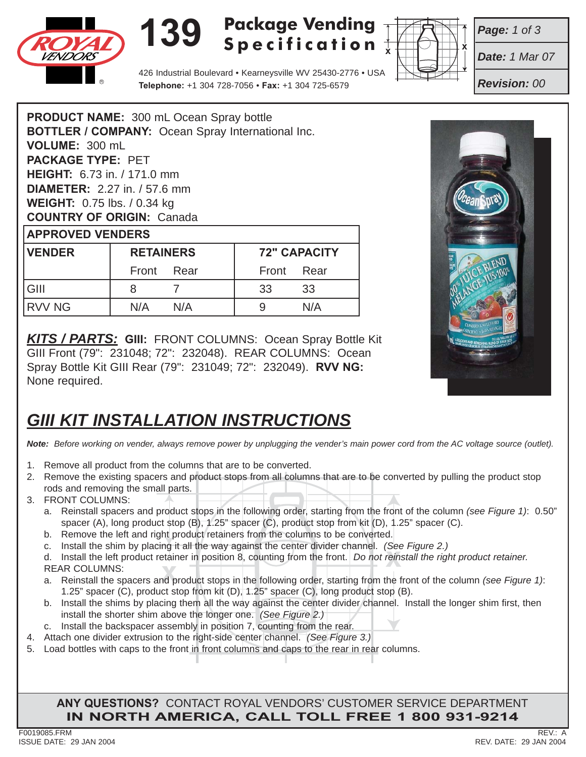

## **139 Package Vending Specification**



*Page: 1 of 3*

*Date: 1 Mar 07*

*Revision: 00*

426 Industrial Boulevard • Kearneysville WV 25430-2776 • USA **Telephone:** +1 304 728-7056 • **Fax:** +1 304 725-6579

**PRODUCT NAME:** 300 mL Ocean Spray bottle **BOTTLER / COMPANY:** Ocean Spray International Inc. **VOLUME:** 300 mL **PACKAGE TYPE:** PET **HEIGHT:** 6.73 in. / 171.0 mm **DIAMETER:** 2.27 in. / 57.6 mm **WEIGHT:** 0.75 lbs. / 0.34 kg **COUNTRY OF ORIGIN:** Canada **APPROVED VENDERS**

| <b>VENDER</b> | <b>RETAINERS</b> |     | <b>72" CAPACITY</b> |     |
|---------------|------------------|-----|---------------------|-----|
|               | Front Rear       |     | Front Rear          |     |
| l GIII        |                  |     | -33                 | 33  |
| IRVV NG       | N/A              | N/A |                     | N/A |

*KITS / PARTS:* **GIII:**FRONT COLUMNS: Ocean Spray Bottle Kit GIII Front (79": 231048; 72": 232048). REAR COLUMNS: Ocean Spray Bottle Kit GIII Rear (79": 231049; 72": 232049). **RVV NG:** None required.

## *GIII KIT INSTALLATION INSTRUCTIONS*

*Note: Before working on vender, always remove power by unplugging the vender's main power cord from the AC voltage source (outlet).*

- 1. Remove all product from the columns that are to be converted.
- 2. Remove the existing spacers and product stops from all columns that are to be converted by pulling the product stop rods and removing the small parts.
- 3. FRONT COLUMNS:
	- a. Reinstall spacers and product stops in the following order, starting from the front of the column *(see Figure 1)*: 0.50" spacer (A), long product stop (B), 1.25" spacer (C), product stop from kit (D), 1.25" spacer (C).
	- b. Remove the left and right product retainers from the columns to be converted.
	- c. Install the shim by placing it all the way against the center divider channel. *(See Figure 2.)*

d. Install the left product retainer in position 8, counting from the front. *Do not reinstall the right product retainer.*<br>REAR COLUMNS:<br>a. Reinstall the spacers and product stops in the following order, starting from the REAR COLUMNS:

- a. Reinstall the spacers and product stops in the following order, starting from the front of the column *(see Figure 1)*: 1.25" spacer (C), product stop from kit (D), 1.25" spacer (C), long product stop (B).
- b. Install the shims by placing them all the way against the center divider channel. Install the longer shim first, then install the shorter shim above the longer one. *(See Figure 2.)*
- c. Install the backspacer assembly in position 7, counting from the rear.
- 4. Attach one divider extrusion to the right-side center channel. *(See Figure 3.)*
- 5. Load bottles with caps to the front in front columns and caps to the rear in rear columns.

**ANY QUESTIONS?** CONTACT ROYAL VENDORS' CUSTOMER SERVICE DEPARTMENT **IN NORTH AMERICA, CALL TOLL FREE 1 800 931-9214**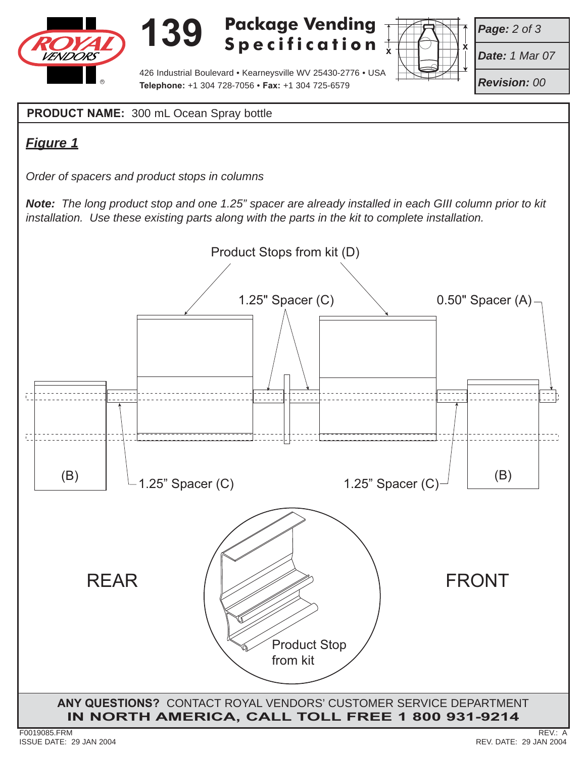

# **139**

**Package Vending Specification**



*Page: 2 of 3*

*Date: 1 Mar 07*

*Revision: 00*

426 Industrial Boulevard • Kearneysville WV 25430-2776 • USA **Telephone:** +1 304 728-7056 • **Fax:** +1 304 725-6579 <sup>R</sup>

**PRODUCT NAME:** 300 mL Ocean Spray bottle

#### *Figure 1*

*Order of spacers and product stops in columns*

*Note: The long product stop and one 1.25" spacer are already installed in each GIII column prior to kit installation. Use these existing parts along with the parts in the kit to complete installation.*